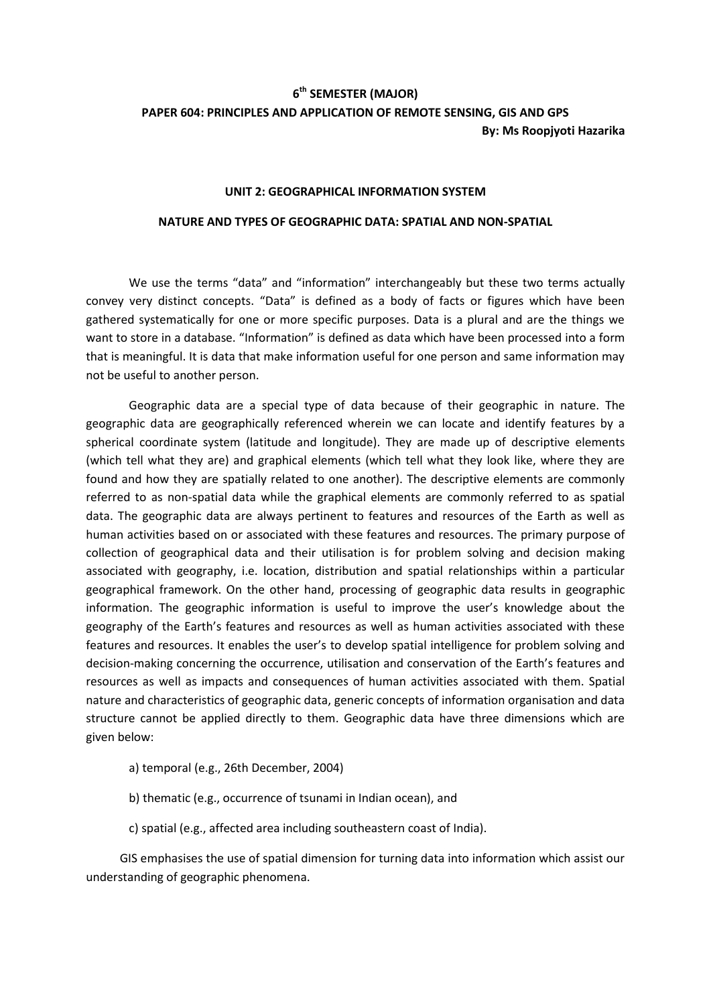## **6 th SEMESTER (MAJOR)**

# **PAPER 604: PRINCIPLES AND APPLICATION OF REMOTE SENSING, GIS AND GPS By: Ms Roopjyoti Hazarika**

#### **UNIT 2: GEOGRAPHICAL INFORMATION SYSTEM**

#### **NATURE AND TYPES OF GEOGRAPHIC DATA: SPATIAL AND NON-SPATIAL**

We use the terms "data" and "information" interchangeably but these two terms actually convey very distinct concepts. "Data" is defined as a body of facts or figures which have been gathered systematically for one or more specific purposes. Data is a plural and are the things we want to store in a database. "Information" is defined as data which have been processed into a form that is meaningful. It is data that make information useful for one person and same information may not be useful to another person.

Geographic data are a special type of data because of their geographic in nature. The geographic data are geographically referenced wherein we can locate and identify features by a spherical coordinate system (latitude and longitude). They are made up of descriptive elements (which tell what they are) and graphical elements (which tell what they look like, where they are found and how they are spatially related to one another). The descriptive elements are commonly referred to as non-spatial data while the graphical elements are commonly referred to as spatial data. The geographic data are always pertinent to features and resources of the Earth as well as human activities based on or associated with these features and resources. The primary purpose of collection of geographical data and their utilisation is for problem solving and decision making associated with geography, i.e. location, distribution and spatial relationships within a particular geographical framework. On the other hand, processing of geographic data results in geographic information. The geographic information is useful to improve the user's knowledge about the geography of the Earth's features and resources as well as human activities associated with these features and resources. It enables the user's to develop spatial intelligence for problem solving and decision-making concerning the occurrence, utilisation and conservation of the Earth's features and resources as well as impacts and consequences of human activities associated with them. Spatial nature and characteristics of geographic data, generic concepts of information organisation and data structure cannot be applied directly to them. Geographic data have three dimensions which are given below:

- a) temporal (e.g., 26th December, 2004)
- b) thematic (e.g., occurrence of tsunami in Indian ocean), and
- c) spatial (e.g., affected area including southeastern coast of India).

GIS emphasises the use of spatial dimension for turning data into information which assist our understanding of geographic phenomena.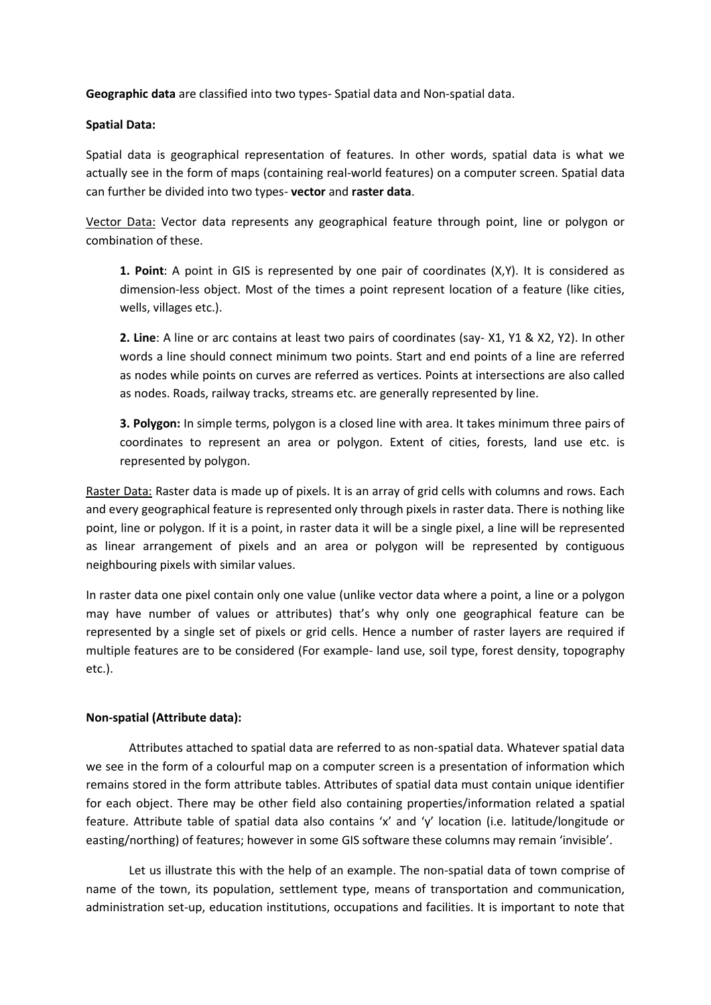**Geographic data** are classified into two types- Spatial data and Non-spatial data.

## **Spatial Data:**

Spatial data is geographical representation of features. In other words, spatial data is what we actually see in the form of maps (containing real-world features) on a computer screen. Spatial data can further be divided into two types- **vector** and **raster data**.

Vector Data: Vector data represents any geographical feature through point, line or polygon or combination of these.

**1. Point**: A point in GIS is represented by one pair of coordinates (X,Y). It is considered as dimension-less object. Most of the times a point represent location of a feature (like cities, wells, villages etc.).

**2. Line**: A line or arc contains at least two pairs of coordinates (say- X1, Y1 & X2, Y2). In other words a line should connect minimum two points. Start and end points of a line are referred as nodes while points on curves are referred as vertices. Points at intersections are also called as nodes. Roads, railway tracks, streams etc. are generally represented by line.

**3. Polygon:** In simple terms, polygon is a closed line with area. It takes minimum three pairs of coordinates to represent an area or polygon. Extent of cities, forests, land use etc. is represented by polygon.

Raster Data: Raster data is made up of pixels. It is an array of grid cells with columns and rows. Each and every geographical feature is represented only through pixels in raster data. There is nothing like point, line or polygon. If it is a point, in raster data it will be a single pixel, a line will be represented as linear arrangement of pixels and an area or polygon will be represented by contiguous neighbouring pixels with similar values.

In raster data one pixel contain only one value (unlike vector data where a point, a line or a polygon may have number of values or attributes) that's why only one geographical feature can be represented by a single set of pixels or grid cells. Hence a number of raster layers are required if multiple features are to be considered (For example- land use, soil type, forest density, topography etc.).

## **Non-spatial (Attribute data):**

Attributes attached to spatial data are referred to as non-spatial data. Whatever spatial data we see in the form of a colourful map on a computer screen is a presentation of information which remains stored in the form attribute tables. Attributes of spatial data must contain unique identifier for each object. There may be other field also containing properties/information related a spatial feature. Attribute table of spatial data also contains 'x' and 'y' location (i.e. latitude/longitude or easting/northing) of features; however in some GIS software these columns may remain 'invisible'.

Let us illustrate this with the help of an example. The non-spatial data of town comprise of name of the town, its population, settlement type, means of transportation and communication, administration set-up, education institutions, occupations and facilities. It is important to note that